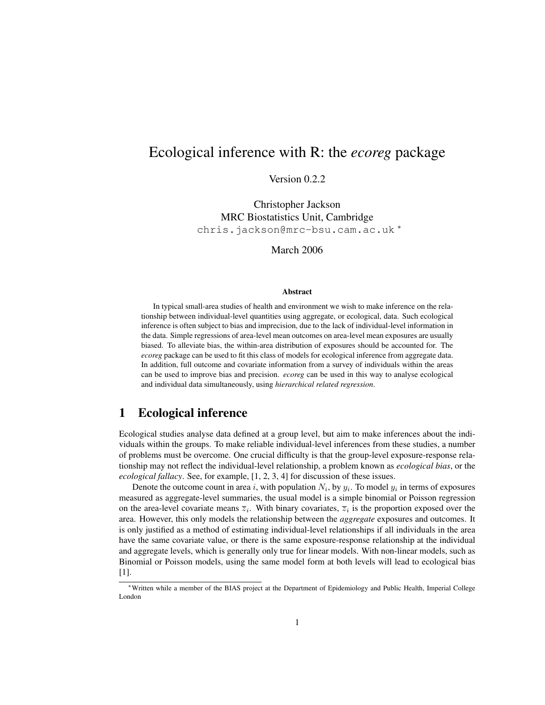# Ecological inference with R: the *ecoreg* package

Version 0.2.2

Christopher Jackson MRC Biostatistics Unit, Cambridge chris.jackson@mrc-bsu.cam.ac.uk <sup>∗</sup>

March 2006

#### Abstract

In typical small-area studies of health and environment we wish to make inference on the relationship between individual-level quantities using aggregate, or ecological, data. Such ecological inference is often subject to bias and imprecision, due to the lack of individual-level information in the data. Simple regressions of area-level mean outcomes on area-level mean exposures are usually biased. To alleviate bias, the within-area distribution of exposures should be accounted for. The *ecoreg* package can be used to fit this class of models for ecological inference from aggregate data. In addition, full outcome and covariate information from a survey of individuals within the areas can be used to improve bias and precision. *ecoreg* can be used in this way to analyse ecological and individual data simultaneously, using *hierarchical related regression*.

## 1 Ecological inference

Ecological studies analyse data defined at a group level, but aim to make inferences about the individuals within the groups. To make reliable individual-level inferences from these studies, a number of problems must be overcome. One crucial difficulty is that the group-level exposure-response relationship may not reflect the individual-level relationship, a problem known as *ecological bias*, or the *ecological fallacy*. See, for example, [1, 2, 3, 4] for discussion of these issues.

Denote the outcome count in area i, with population  $N_i$ , by  $y_i$ . To model  $y_i$  in terms of exposures measured as aggregate-level summaries, the usual model is a simple binomial or Poisson regression on the area-level covariate means  $\overline{z}_i$ . With binary covariates,  $\overline{z}_i$  is the proportion exposed over the area. However, this only models the relationship between the *aggregate* exposures and outcomes. It is only justified as a method of estimating individual-level relationships if all individuals in the area have the same covariate value, or there is the same exposure-response relationship at the individual and aggregate levels, which is generally only true for linear models. With non-linear models, such as Binomial or Poisson models, using the same model form at both levels will lead to ecological bias [1].

<sup>∗</sup>Written while a member of the BIAS project at the Department of Epidemiology and Public Health, Imperial College London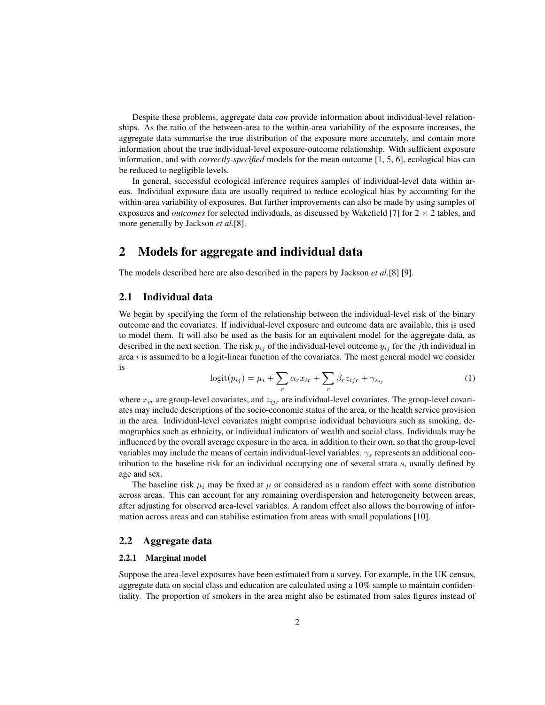Despite these problems, aggregate data *can* provide information about individual-level relationships. As the ratio of the between-area to the within-area variability of the exposure increases, the aggregate data summarise the true distribution of the exposure more accurately, and contain more information about the true individual-level exposure-outcome relationship. With sufficient exposure information, and with *correctly-specified* models for the mean outcome [1, 5, 6], ecological bias can be reduced to negligible levels.

In general, successful ecological inference requires samples of individual-level data within areas. Individual exposure data are usually required to reduce ecological bias by accounting for the within-area variability of exposures. But further improvements can also be made by using samples of exposures and *outcomes* for selected individuals, as discussed by Wakefield [7] for  $2 \times 2$  tables, and more generally by Jackson *et al.*[8].

## 2 Models for aggregate and individual data

The models described here are also described in the papers by Jackson *et al.*[8] [9].

### 2.1 Individual data

We begin by specifying the form of the relationship between the individual-level risk of the binary outcome and the covariates. If individual-level exposure and outcome data are available, this is used to model them. It will also be used as the basis for an equivalent model for the aggregate data, as described in the next section. The risk  $p_{ij}$  of the individual-level outcome  $y_{ij}$  for the jth individual in area  $i$  is assumed to be a logit-linear function of the covariates. The most general model we consider is

$$
logit(p_{ij}) = \mu_i + \sum_r \alpha_r x_{ir} + \sum_r \beta_r z_{ijr} + \gamma_{s_{ij}}
$$
\n(1)

where  $x_{ir}$  are group-level covariates, and  $z_{ijr}$  are individual-level covariates. The group-level covariates may include descriptions of the socio-economic status of the area, or the health service provision in the area. Individual-level covariates might comprise individual behaviours such as smoking, demographics such as ethnicity, or individual indicators of wealth and social class. Individuals may be influenced by the overall average exposure in the area, in addition to their own, so that the group-level variables may include the means of certain individual-level variables.  $\gamma_s$  represents an additional contribution to the baseline risk for an individual occupying one of several strata s, usually defined by age and sex.

The baseline risk  $\mu_i$  may be fixed at  $\mu$  or considered as a random effect with some distribution across areas. This can account for any remaining overdispersion and heterogeneity between areas, after adjusting for observed area-level variables. A random effect also allows the borrowing of information across areas and can stabilise estimation from areas with small populations [10].

### 2.2 Aggregate data

### 2.2.1 Marginal model

Suppose the area-level exposures have been estimated from a survey. For example, in the UK census, aggregate data on social class and education are calculated using a 10% sample to maintain confidentiality. The proportion of smokers in the area might also be estimated from sales figures instead of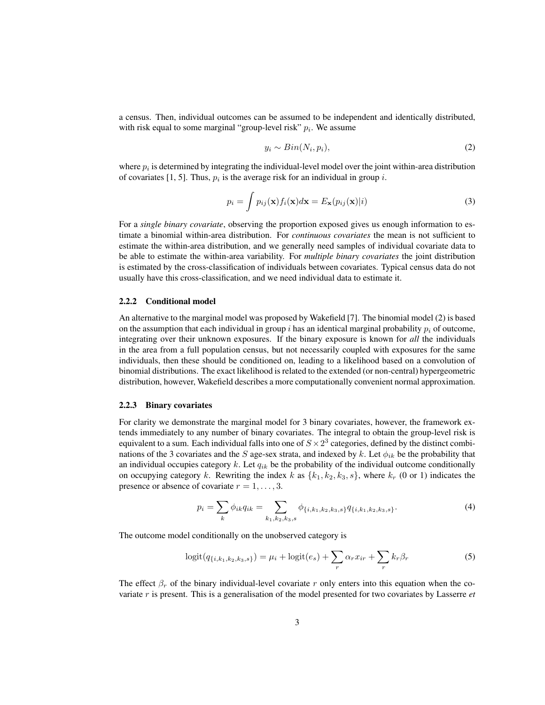a census. Then, individual outcomes can be assumed to be independent and identically distributed, with risk equal to some marginal "group-level risk"  $p_i$ . We assume

$$
y_i \sim Bin(N_i, p_i), \tag{2}
$$

where  $p_i$  is determined by integrating the individual-level model over the joint within-area distribution of covariates [1, 5]. Thus,  $p_i$  is the average risk for an individual in group i.

$$
p_i = \int p_{ij}(\mathbf{x}) f_i(\mathbf{x}) d\mathbf{x} = E_{\mathbf{x}}(p_{ij}(\mathbf{x})|i)
$$
\n(3)

For a *single binary covariate*, observing the proportion exposed gives us enough information to estimate a binomial within-area distribution. For *continuous covariates* the mean is not sufficient to estimate the within-area distribution, and we generally need samples of individual covariate data to be able to estimate the within-area variability. For *multiple binary covariates* the joint distribution is estimated by the cross-classification of individuals between covariates. Typical census data do not usually have this cross-classification, and we need individual data to estimate it.

#### 2.2.2 Conditional model

An alternative to the marginal model was proposed by Wakefield [7]. The binomial model (2) is based on the assumption that each individual in group i has an identical marginal probability  $p_i$  of outcome, integrating over their unknown exposures. If the binary exposure is known for *all* the individuals in the area from a full population census, but not necessarily coupled with exposures for the same individuals, then these should be conditioned on, leading to a likelihood based on a convolution of binomial distributions. The exact likelihood is related to the extended (or non-central) hypergeometric distribution, however, Wakefield describes a more computationally convenient normal approximation.

### 2.2.3 Binary covariates

For clarity we demonstrate the marginal model for 3 binary covariates, however, the framework extends immediately to any number of binary covariates. The integral to obtain the group-level risk is equivalent to a sum. Each individual falls into one of  $S \times 2^3$  categories, defined by the distinct combinations of the 3 covariates and the S age-sex strata, and indexed by k. Let  $\phi_{ik}$  be the probability that an individual occupies category  $k$ . Let  $q_{ik}$  be the probability of the individual outcome conditionally on occupying category k. Rewriting the index k as  $\{k_1, k_2, k_3, s\}$ , where  $k_r$  (0 or 1) indicates the presence or absence of covariate  $r = 1, \ldots, 3$ .

$$
p_i = \sum_k \phi_{ik} q_{ik} = \sum_{k_1, k_2, k_3, s} \phi_{\{i, k_1, k_2, k_3, s\}} q_{\{i, k_1, k_2, k_3, s\}}.
$$
 (4)

The outcome model conditionally on the unobserved category is

$$
logit(q_{\{i,k_1,k_2,k_3,s\}}) = \mu_i + logit(e_s) + \sum_r \alpha_r x_{ir} + \sum_r k_r \beta_r
$$
 (5)

The effect  $\beta_r$  of the binary individual-level covariate r only enters into this equation when the covariate r is present. This is a generalisation of the model presented for two covariates by Lasserre *et*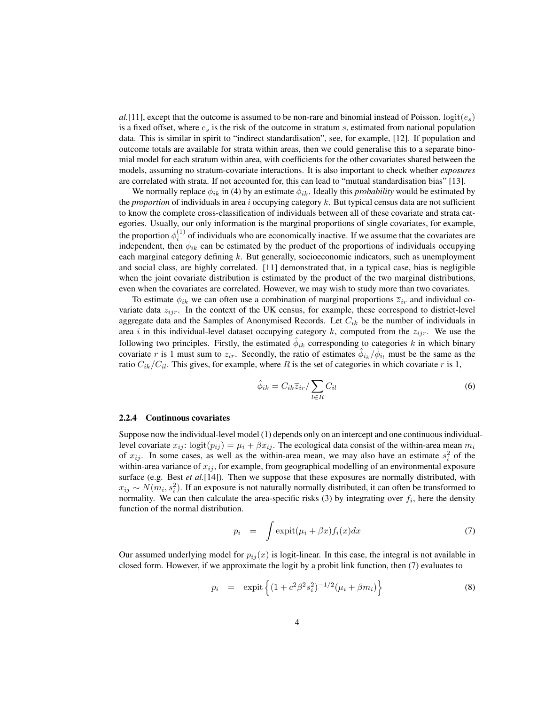$a$ .[11], except that the outcome is assumed to be non-rare and binomial instead of Poisson. logit( $e_s$ ) is a fixed offset, where  $e_s$  is the risk of the outcome in stratum s, estimated from national population data. This is similar in spirit to "indirect standardisation", see, for example, [12]. If population and outcome totals are available for strata within areas, then we could generalise this to a separate binomial model for each stratum within area, with coefficients for the other covariates shared between the models, assuming no stratum-covariate interactions. It is also important to check whether *exposures* are correlated with strata. If not accounted for, this can lead to "mutual standardisation bias" [13].

We normally replace  $\phi_{ik}$  in (4) by an estimate  $\hat{\phi}_{ik}$ . Ideally this *probability* would be estimated by the *proportion* of individuals in area i occupying category k. But typical census data are not sufficient to know the complete cross-classification of individuals between all of these covariate and strata categories. Usually, our only information is the marginal proportions of single covariates, for example, the proportion  $\phi_i^{(1)}$  of individuals who are economically inactive. If we assume that the covariates are independent, then  $\phi_{ik}$  can be estimated by the product of the proportions of individuals occupying each marginal category defining k. But generally, socioeconomic indicators, such as unemployment and social class, are highly correlated. [11] demonstrated that, in a typical case, bias is negligible when the joint covariate distribution is estimated by the product of the two marginal distributions, even when the covariates are correlated. However, we may wish to study more than two covariates.

To estimate  $\phi_{ik}$  we can often use a combination of marginal proportions  $\overline{z}_{ir}$  and individual covariate data  $z_{ijr}$ . In the context of the UK census, for example, these correspond to district-level aggregate data and the Samples of Anonymised Records. Let  $C_{ik}$  be the number of individuals in area i in this individual-level dataset occupying category k, computed from the  $z_{ijr}$ . We use the following two principles. Firstly, the estimated  $\hat{\phi}_{ik}$  corresponding to categories k in which binary covariate r is 1 must sum to  $z_{ir}$ . Secondly, the ratio of estimates  $\hat{\phi}_{i_k}/\hat{\phi}_{i_l}$  must be the same as the ratio  $C_{ik}/C_{il}$ . This gives, for example, where R is the set of categories in which covariate r is 1,

$$
\hat{\phi}_{ik} = C_{ik}\overline{z}_{ir} / \sum_{l \in R} C_{il} \tag{6}
$$

#### 2.2.4 Continuous covariates

Suppose now the individual-level model (1) depends only on an intercept and one continuous individuallevel covariate  $x_{ij}$ : logit $(p_{ij}) = \mu_i + \beta x_{ij}$ . The ecological data consist of the within-area mean  $m_i$ of  $x_{ij}$ . In some cases, as well as the within-area mean, we may also have an estimate  $s_i^2$  of the within-area variance of  $x_{ij}$ , for example, from geographical modelling of an environmental exposure surface (e.g. Best *et al.*[14]). Then we suppose that these exposures are normally distributed, with  $x_{ij} \sim N(m_i, s_i^2)$ . If an exposure is not naturally normally distributed, it can often be transformed to normality. We can then calculate the area-specific risks  $(3)$  by integrating over  $f_i$ , here the density function of the normal distribution.

$$
p_i = \int \exp\mathrm{i}t(\mu_i + \beta x)f_i(x)dx \tag{7}
$$

Our assumed underlying model for  $p_{ij}(x)$  is logit-linear. In this case, the integral is not available in closed form. However, if we approximate the logit by a probit link function, then (7) evaluates to

$$
p_i = \exp\left\{ (1 + c^2 \beta^2 s_i^2)^{-1/2} (\mu_i + \beta m_i) \right\}
$$
 (8)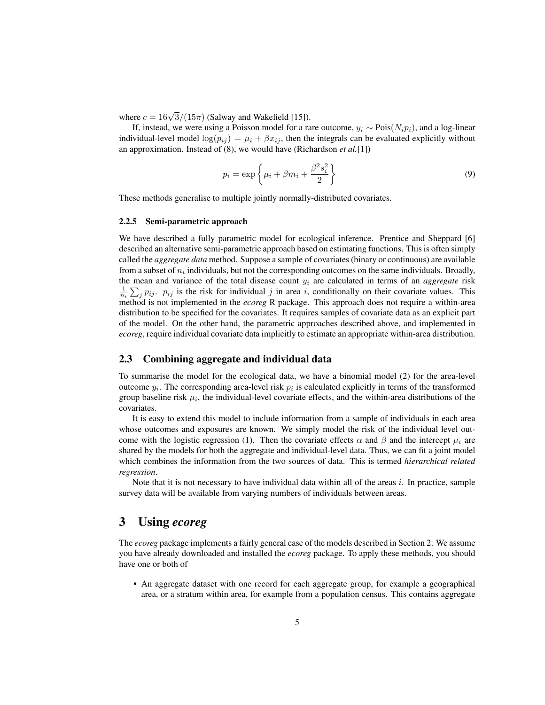where  $c = 16\sqrt{3}/(15\pi)$  (Salway and Wakefield [15]).

If, instead, we were using a Poisson model for a rare outcome,  $y_i \sim \text{Pois}(N_i p_i)$ , and a log-linear individual-level model  $log(p_{ij}) = \mu_i + \beta x_{ij}$ , then the integrals can be evaluated explicitly without an approximation. Instead of (8), we would have (Richardson *et al.*[1])

$$
p_i = \exp\left\{\mu_i + \beta m_i + \frac{\beta^2 s_i^2}{2}\right\}
$$
\n(9)

These methods generalise to multiple jointly normally-distributed covariates.

### 2.2.5 Semi-parametric approach

We have described a fully parametric model for ecological inference. Prentice and Sheppard [6] described an alternative semi-parametric approach based on estimating functions. This is often simply called the *aggregate data* method. Suppose a sample of covariates (binary or continuous) are available from a subset of  $n_i$  individuals, but not the corresponding outcomes on the same individuals. Broadly, the mean and variance of the total disease count  $y_i$  are calculated in terms of an *aggregate* risk  $\frac{1}{n_i} \sum_j p_{ij}$ .  $p_{ij}$  is the risk for individual j in area i, conditionally on their covariate values. This method is not implemented in the *ecoreg* R package. This approach does not require a within-area distribution to be specified for the covariates. It requires samples of covariate data as an explicit part of the model. On the other hand, the parametric approaches described above, and implemented in *ecoreg*, require individual covariate data implicitly to estimate an appropriate within-area distribution.

### 2.3 Combining aggregate and individual data

To summarise the model for the ecological data, we have a binomial model (2) for the area-level outcome  $y_i$ . The corresponding area-level risk  $p_i$  is calculated explicitly in terms of the transformed group baseline risk  $\mu_i$ , the individual-level covariate effects, and the within-area distributions of the covariates.

It is easy to extend this model to include information from a sample of individuals in each area whose outcomes and exposures are known. We simply model the risk of the individual level outcome with the logistic regression (1). Then the covariate effects  $\alpha$  and  $\beta$  and the intercept  $\mu_i$  are shared by the models for both the aggregate and individual-level data. Thus, we can fit a joint model which combines the information from the two sources of data. This is termed *hierarchical related regression*.

Note that it is not necessary to have individual data within all of the areas  $i$ . In practice, sample survey data will be available from varying numbers of individuals between areas.

### 3 Using *ecoreg*

The *ecoreg* package implements a fairly general case of the models described in Section 2. We assume you have already downloaded and installed the *ecoreg* package. To apply these methods, you should have one or both of

• An aggregate dataset with one record for each aggregate group, for example a geographical area, or a stratum within area, for example from a population census. This contains aggregate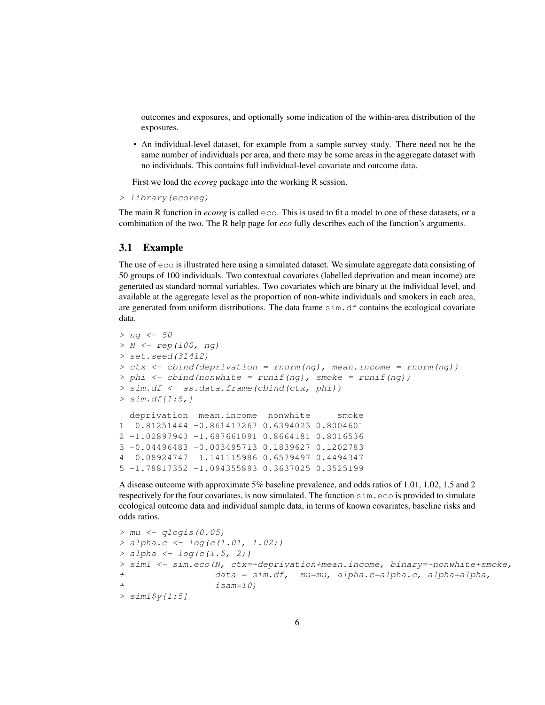outcomes and exposures, and optionally some indication of the within-area distribution of the exposures.

• An individual-level dataset, for example from a sample survey study. There need not be the same number of individuals per area, and there may be some areas in the aggregate dataset with no individuals. This contains full individual-level covariate and outcome data.

First we load the *ecoreg* package into the working R session.

```
> library(ecoreg)
```
The main R function in *ecoreg* is called eco. This is used to fit a model to one of these datasets, or a combination of the two. The R help page for *eco* fully describes each of the function's arguments.

### 3.1 Example

The use of eco is illustrated here using a simulated dataset. We simulate aggregate data consisting of 50 groups of 100 individuals. Two contextual covariates (labelled deprivation and mean income) are generated as standard normal variables. Two covariates which are binary at the individual level, and available at the aggregate level as the proportion of non-white individuals and smokers in each area, are generated from uniform distributions. The data frame  $\sin A$ . df contains the ecological covariate data.

```
> ng <- 50
> N <- rep(100, ng)
> set.seed(31412)
> ctx \le cbind(deprivation = rnorm(ng), mean.income = rnorm(nq))
> phi <- cbind(nonwhite = runif(ng), smoke = runif(ng))
> sim.df <- as.data.frame(cbind(ctx, phi))
> sim.df[1:5,]deprivation mean.income nonwhite smoke
1 0.81251444 -0.861417267 0.6394023 0.8004601
2 -1.02897943 -1.687661091 0.8664181 0.8016536
3 -0.04496483 -0.003495713 0.1839627 0.1202783
4 0.08924747 1.141115986 0.6579497 0.4494347
5 -1.78817352 -1.094355893 0.3637025 0.3525199
```
A disease outcome with approximate 5% baseline prevalence, and odds ratios of 1.01, 1.02, 1.5 and 2 respectively for the four covariates, is now simulated. The function sim.eco is provided to simulate ecological outcome data and individual sample data, in terms of known covariates, baseline risks and odds ratios.

```
> mu < - qlogis(0.05)
> alpha.c <- log(c(1.01, 1.02))
> alpha < - log(c(1.5, 2))> sim1 <- sim.eco(N, ctx=~deprivation+mean.income, binary=~nonwhite+smoke,
+ data = sim.df, mu=mu, alpha.c=alpha.c, alpha=alpha,
                 isam=10)
> sim1$y[1:5]
```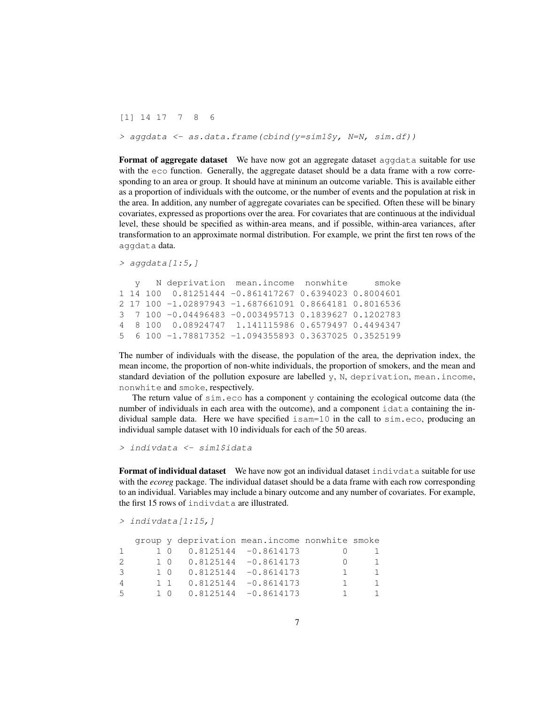[1] 14 17 7 8 6

> aggdata <- as.data.frame(cbind(y=sim1\$y, N=N, sim.df))

Format of aggregate dataset We have now got an aggregate dataset aggdata suitable for use with the eco function. Generally, the aggregate dataset should be a data frame with a row corresponding to an area or group. It should have at mininum an outcome variable. This is available either as a proportion of individuals with the outcome, or the number of events and the population at risk in the area. In addition, any number of aggregate covariates can be specified. Often these will be binary covariates, expressed as proportions over the area. For covariates that are continuous at the individual level, these should be specified as within-area means, and if possible, within-area variances, after transformation to an approximate normal distribution. For example, we print the first ten rows of the aggdata data.

```
> aggdata[1:5,]
```

```
y N deprivation mean.income nonwhite smoke
1 14 100 0.81251444 -0.861417267 0.6394023 0.8004601
2 17 100 -1.02897943 -1.687661091 0.8664181 0.8016536
3 7 100 -0.04496483 -0.003495713 0.1839627 0.1202783
4 8 100 0.08924747 1.141115986 0.6579497 0.4494347
5 6 100 -1.78817352 -1.094355893 0.3637025 0.3525199
```
The number of individuals with the disease, the population of the area, the deprivation index, the mean income, the proportion of non-white individuals, the proportion of smokers, and the mean and standard deviation of the pollution exposure are labelled y, N, deprivation, mean.income, nonwhite and smoke, respectively.

The return value of  $sim$  eco has a component y containing the ecological outcome data (the number of individuals in each area with the outcome), and a component idata containing the individual sample data. Here we have specified isam=10 in the call to sim.eco, producing an individual sample dataset with 10 individuals for each of the 50 areas.

> indivdata <- sim1\$idata

**Format of individual dataset** We have now got an individual dataset indivdata suitable for use with the *ecoreg* package. The individual dataset should be a data frame with each row corresponding to an individual. Variables may include a binary outcome and any number of covariates. For example, the first 15 rows of indivdata are illustrated.

```
> indivdata[1:15,]
```

|                |  |                            | group y deprivation mean.income nonwhite smoke |    |     |
|----------------|--|----------------------------|------------------------------------------------|----|-----|
| -1             |  | $1 0 0.8125144 -0.8614173$ |                                                |    |     |
| 2              |  | $1 0 0.8125144 -0.8614173$ |                                                |    |     |
| 3              |  | $1 0 0.8125144 -0.8614173$ |                                                |    | -1  |
| $\overline{4}$ |  | $1 1 0.8125144 -0.8614173$ |                                                | Π. | -1. |
| .5             |  | $1 0 0.8125144 -0.8614173$ |                                                |    | -1  |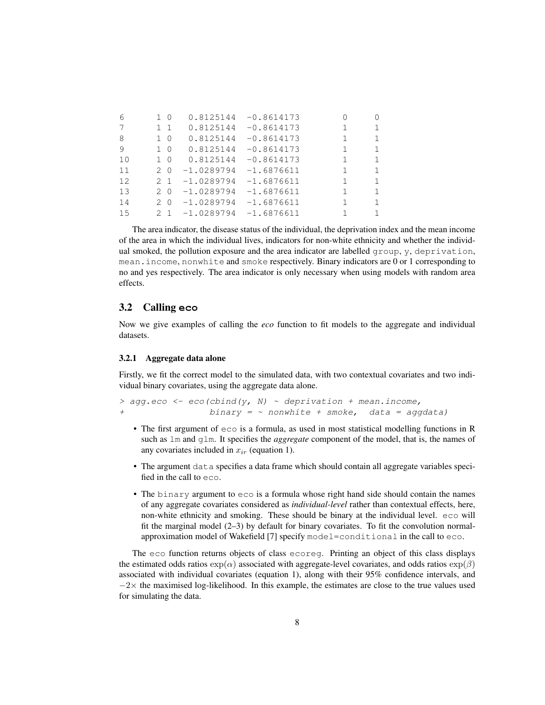| 6  |                | $1\quad 0$  | 0.8125144    | $-0.8614173$ |              | 0            |
|----|----------------|-------------|--------------|--------------|--------------|--------------|
| 7  |                | $1 \quad 1$ | 0.8125144    | $-0.8614173$ | 1            |              |
| 8  |                | $1\quad$ 0  | 0.8125144    | $-0.8614173$ | $\mathbf{1}$ | $\mathbf{1}$ |
| 9  |                | $1\quad$ 0  | 0.8125144    | $-0.8614173$ | $\mathbf{1}$ | $\mathbf{1}$ |
| 10 |                | $1\quad$ 0  | 0.8125144    | $-0.8614173$ | $\mathbf{1}$ | 1            |
| 11 |                | 20          | $-1.0289794$ | $-1.6876611$ | 1            | $\mathbf{1}$ |
| 12 | 2 <sub>1</sub> |             | $-1.0289794$ | $-1.6876611$ | 1            | 1            |
| 13 |                | 2 0         | $-1.0289794$ | $-1.6876611$ | 1            | $\mathbf{1}$ |
| 14 |                | 2 0         | $-1.0289794$ | $-1.6876611$ | 1.           | 1            |
| 15 |                | 2 1         | $-1.0289794$ | $-1.6876611$ |              | $\mathbf{1}$ |

The area indicator, the disease status of the individual, the deprivation index and the mean income of the area in which the individual lives, indicators for non-white ethnicity and whether the individual smoked, the pollution exposure and the area indicator are labelled group, y, deprivation, mean.income, nonwhite and smoke respectively. Binary indicators are 0 or 1 corresponding to no and yes respectively. The area indicator is only necessary when using models with random area effects.

### 3.2 Calling **eco**

Now we give examples of calling the *eco* function to fit models to the aggregate and individual datasets.

### 3.2.1 Aggregate data alone

Firstly, we fit the correct model to the simulated data, with two contextual covariates and two individual binary covariates, using the aggregate data alone.

```
> agg.eco <- eco(cbind(y, N) ~ deprivation + mean.income,
+ binary = \sim nonwhite + smoke, data = aggdata)
```
- The first argument of eco is a formula, as used in most statistical modelling functions in R such as lm and glm. It specifies the *aggregate* component of the model, that is, the names of any covariates included in  $x_{ir}$  (equation 1).
- The argument data specifies a data frame which should contain all aggregate variables specified in the call to eco.
- The binary argument to eco is a formula whose right hand side should contain the names of any aggregate covariates considered as *individual-level* rather than contextual effects, here, non-white ethnicity and smoking. These should be binary at the individual level. eco will fit the marginal model  $(2-3)$  by default for binary covariates. To fit the convolution normalapproximation model of Wakefield [7] specify model=conditional in the call to eco.

The eco function returns objects of class ecoreg. Printing an object of this class displays the estimated odds ratios  $\exp(\alpha)$  associated with aggregate-level covariates, and odds ratios  $\exp(\beta)$ associated with individual covariates (equation 1), along with their 95% confidence intervals, and  $-2\times$  the maximised log-likelihood. In this example, the estimates are close to the true values used for simulating the data.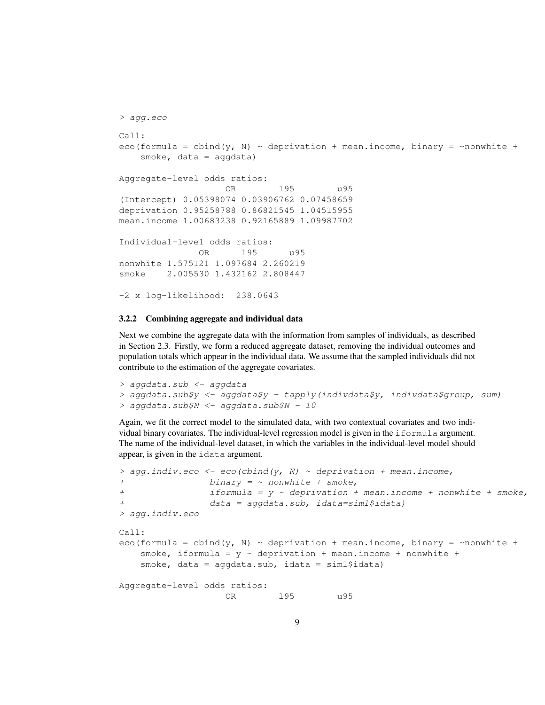```
> agg.eco
Ca11eco(formula = cbind(y, N) \sim deprivation + mean.income, binary = \simnonwhite +
   smoke, data = aggdata)
Aggregate-level odds ratios:
                   OR l95 u95
(Intercept) 0.05398074 0.03906762 0.07458659
deprivation 0.95258788 0.86821545 1.04515955
mean.income 1.00683238 0.92165889 1.09987702
Individual-level odds ratios:
              OR l95 u95
nonwhite 1.575121 1.097684 2.260219
smoke 2.005530 1.432162 2.808447
-2 x log-likelihood: 238.0643
```
### 3.2.2 Combining aggregate and individual data

Next we combine the aggregate data with the information from samples of individuals, as described in Section 2.3. Firstly, we form a reduced aggregate dataset, removing the individual outcomes and population totals which appear in the individual data. We assume that the sampled individuals did not contribute to the estimation of the aggregate covariates.

> aggdata.sub <- aggdata > aggdata.sub\$y <- aggdata\$y - tapply(indivdata\$y, indivdata\$group, sum) > aggdata.sub\$N <- aggdata.sub\$N - 10

Again, we fit the correct model to the simulated data, with two contextual covariates and two individual binary covariates. The individual-level regression model is given in the iformula argument. The name of the individual-level dataset, in which the variables in the individual-level model should appear, is given in the idata argument.

```
> agg.indiv.eco <- eco(cbind(y, N) ~ deprivation + mean.income,
+ binary = ~ nonwhite + smoke,
+ iformula = y ~ deprivation + mean.income + nonwhite + smoke,
+ data = aggdata.sub, idata=sim1$idata)
> agg.indiv.eco
Call:
eco(formula = cbind(y, N) \sim deprivation + mean.income, binary = \simnonwhite +
   smoke, iformula = y \sim deprivation + mean.income + nonwhite +
   smoke, data = aggdata.sub, idata = sim1$idata)
Aggregate-level odds ratios:
                  OR l95 u95
```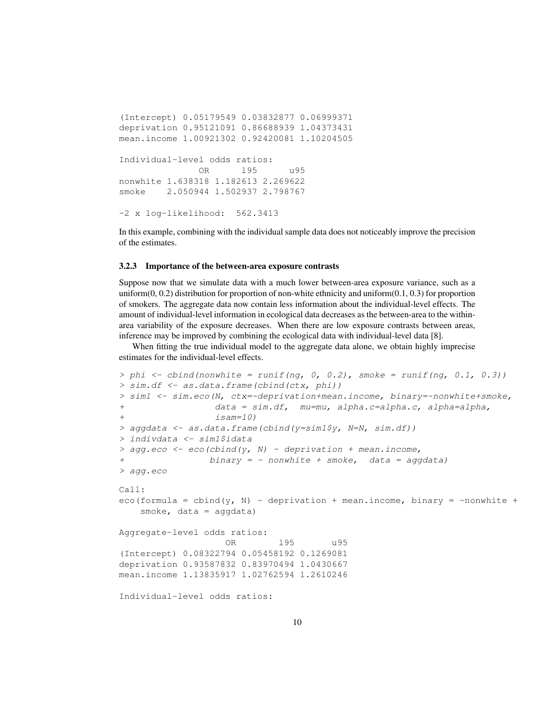```
(Intercept) 0.05179549 0.03832877 0.06999371
deprivation 0.95121091 0.86688939 1.04373431
mean.income 1.00921302 0.92420081 1.10204505
Individual-level odds ratios:
              OR l95 u95
nonwhite 1.638318 1.182613 2.269622
smoke 2.050944 1.502937 2.798767
-2 x log-likelihood: 562.3413
```
In this example, combining with the individual sample data does not noticeably improve the precision of the estimates.

#### 3.2.3 Importance of the between-area exposure contrasts

Suppose now that we simulate data with a much lower between-area exposure variance, such as a uniform(0, 0.2) distribution for proportion of non-white ethnicity and uniform(0.1, 0.3) for proportion of smokers. The aggregate data now contain less information about the individual-level effects. The amount of individual-level information in ecological data decreases as the between-area to the withinarea variability of the exposure decreases. When there are low exposure contrasts between areas, inference may be improved by combining the ecological data with individual-level data [8].

When fitting the true individual model to the aggregate data alone, we obtain highly imprecise estimates for the individual-level effects.

```
> phi <- cbind(nonwhite = runif(ng, 0, 0.2), smoke = runif(ng, 0.1, 0.3))
> sim.df <- as.data.frame(cbind(ctx, phi))
> sim1 <- sim.eco(N, ctx=~deprivation+mean.income, binary=~nonwhite+smoke,
+ data = sim.df, mu=mu, alpha.c=alpha.c, alpha=alpha,
+ isam=10)
> aggdata <- as.data.frame(cbind(y=sim1$y, N=N, sim.df))
> indivdata <- sim1$idata
> agg.eco <- eco(cbind(y, N) ~ deprivation + mean.income,
                binary = ~ nonwhite + smoke, data = aggdata)> agg.eco
Call:
eco(formula = cbind(y, N) ~ deprivation + mean.income, binary = ~nonwhite +
   smoke, data = aqqdata)
Aggregate-level odds ratios:
                   OR l95 u95
(Intercept) 0.08322794 0.05458192 0.1269081
deprivation 0.93587832 0.83970494 1.0430667
mean.income 1.13835917 1.02762594 1.2610246
Individual-level odds ratios:
```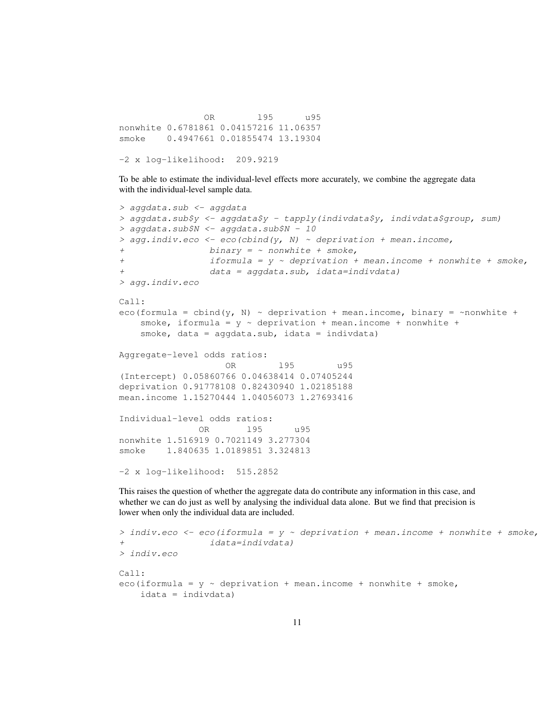OR l95 u95 nonwhite 0.6781861 0.04157216 11.06357 smoke 0.4947661 0.01855474 13.19304

-2 x log-likelihood: 209.9219

To be able to estimate the individual-level effects more accurately, we combine the aggregate data with the individual-level sample data.

```
> aggdata.sub <- aggdata
> aggdata.sub$y <- aggdata$y - tapply(indivdata$y, indivdata$group, sum)
> aggdata.sub$N <- aggdata.sub$N - 10
> agg.indiv.eco <- eco(cbind(y, N) ~ deprivation + mean.income,
                binary = ~ nonwhite + smoke,+ if formula = y \sim deprivation + mean.income + nonwhile + smoke,+ data = aggdata.sub, idata=indivdata)
> agg.indiv.eco
C_{2}11 \cdoteco(formula = cbind(y, N) \sim deprivation + mean.income, binary = \simnonwhite +
   smoke, iformula = y \sim deprivation + mean.income + nonwhite +
   smoke, data = aggdata.sub, idata = indivdata)
Aggregate-level odds ratios:
                   OR l95 u95
(Intercept) 0.05860766 0.04638414 0.07405244
deprivation 0.91778108 0.82430940 1.02185188
mean.income 1.15270444 1.04056073 1.27693416
Individual-level odds ratios:
              OR l95 u95
nonwhite 1.516919 0.7021149 3.277304
smoke 1.840635 1.0189851 3.324813
-2 x log-likelihood: 515.2852
```
This raises the question of whether the aggregate data do contribute any information in this case, and whether we can do just as well by analysing the individual data alone. But we find that precision is lower when only the individual data are included.

```
> indiv.eco <- eco(iformula = y \sim deprivation + mean.income + nonwhite + smoke,
+ idata=indivdata)
> indiv.eco
Ca11:eco(iformula = y \sim deprivation + mean.income + nonwhite + smoke,
   idata = indivdata)
```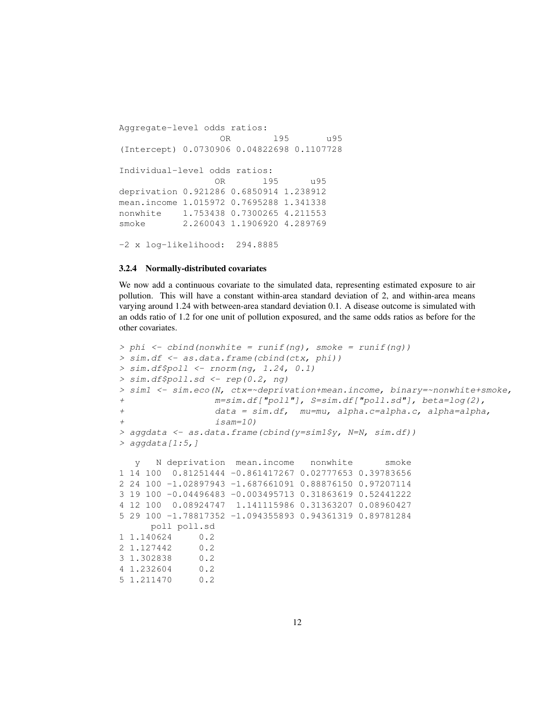```
Aggregate-level odds ratios:
                 OR l95 u95
(Intercept) 0.0730906 0.04822698 0.1107728
Individual-level odds ratios:
                OR l95 u95
deprivation 0.921286 0.6850914 1.238912
mean.income 1.015972 0.7695288 1.341338
nonwhite 1.753438 0.7300265 4.211553
smoke 2.260043 1.1906920 4.289769
-2 x log-likelihood: 294.8885
```
### 3.2.4 Normally-distributed covariates

We now add a continuous covariate to the simulated data, representing estimated exposure to air pollution. This will have a constant within-area standard deviation of 2, and within-area means varying around 1.24 with between-area standard deviation 0.1. A disease outcome is simulated with an odds ratio of 1.2 for one unit of pollution exposured, and the same odds ratios as before for the other covariates.

```
> phi <- cbind(nonwhite = runif(ng), smoke = runif(ng))
> sim.df <- as.data.frame(cbind(ctx, phi))
> sim.df$poll < -rnorm(nq, 1.24, 0.1)> sim.df$poll.sd <- rep(0.2, ng)
> sim1 <- sim.eco(N, ctx=~deprivation+mean.income, binary=~nonwhite+smoke,
                + m=sim.df["poll"], S=sim.df["poll.sd"], beta=log(2),
+ data = sim.df, mu=mu, alpha.c=alpha.c, alpha=alpha,
+ isam=10)
> aggdata <- as.data.frame(cbind(y=sim1$y, N=N, sim.df))
> aggdata[1:5,]
  y N deprivation mean.income nonwhite smoke
1 14 100 0.81251444 -0.861417267 0.02777653 0.39783656
2 24 100 -1.02897943 -1.687661091 0.88876150 0.97207114
3 19 100 -0.04496483 -0.003495713 0.31863619 0.52441222
4 12 100 0.08924747 1.141115986 0.31363207 0.08960427
5 29 100 -1.78817352 -1.094355893 0.94361319 0.89781284
     poll poll.sd
1 1.140624 0.2
2 1.127442 0.2
3 1.302838 0.2
4 1.232604 0.2
5 1.211470 0.2
```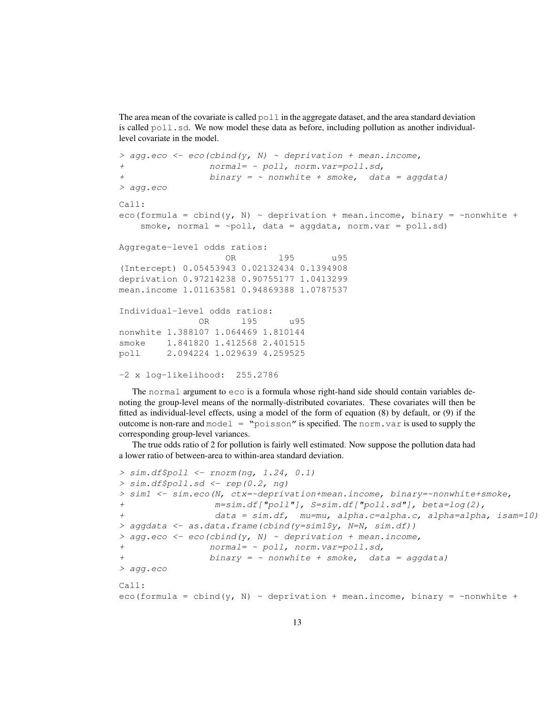The area mean of the covariate is called  $\text{pol}1$  in the aggregate dataset, and the area standard deviation is called  $poll.sd.$  We now model these data as before, including pollution as another individuallevel covariate in the model.

```
> agg.eco <- eco(cbind(y, N) \sim deprivation + mean.income,
+ normal= ~ poll, norm.var=poll.sd,
+ binary = ~ nonwhite + smoke, data = aggdata)
> agg.eco
Call:
eco(formula = cbind(y, N) \sim deprivation + mean.income, binary = \simnonwhite +
   smoke, normal = \simpoll, data = aggdata, norm.var = poll.sd)
Aggregate-level odds ratios:
                  OR l95 u95
(Intercept) 0.05453943 0.02132434 0.1394908
deprivation 0.97214238 0.90755177 1.0413299
mean.income 1.01163581 0.94869388 1.0787537
Individual-level odds ratios:
              OR l95 u95
nonwhite 1.388107 1.064469 1.810144
smoke 1.841820 1.412568 2.401515
poll 2.094224 1.029639 4.259525
-2 x log-likelihood: 255.2786
```
The normal argument to eco is a formula whose right-hand side should contain variables denoting the group-level means of the normally-distributed covariates. These covariates will then be fitted as individual-level effects, using a model of the form of equation (8) by default, or (9) if the outcome is non-rare and  $model = "poisson"$  is specified. The norm. var is used to supply the corresponding group-level variances.

The true odds ratio of 2 for pollution is fairly well estimated. Now suppose the pollution data had a lower ratio of between-area to within-area standard deviation.

```
> sim.df$poll <- rnorm(ng, 1.24, 0.1)
> sim.df$poll.sd <- rep(0.2, ng)
> sim1 <- sim.eco(N, ctx=~deprivation+mean.income, binary=~nonwhite+smoke,
+ m=sim.df["poll"], S=sim.df["poll.sd"], beta=log(2),
+ data = sim.df, mu=mu, alpha.c=alpha.c, alpha=alpha, isam=10)
> aggdata <- as.data.frame(cbind(y=sim1$y, N=N, sim.df))
> agg.eco <- eco(cbind(y, N) \sim deprivation + mean.income,
+ normal= ~ poll, norm.var=poll.sd,
                binary = ~ nonwhite + smoke, data = aggdata)> agg.eco
Call:
eco(formula = cbind(y, N) \sim deprivation + mean.income, binary = \simnonwhite +
```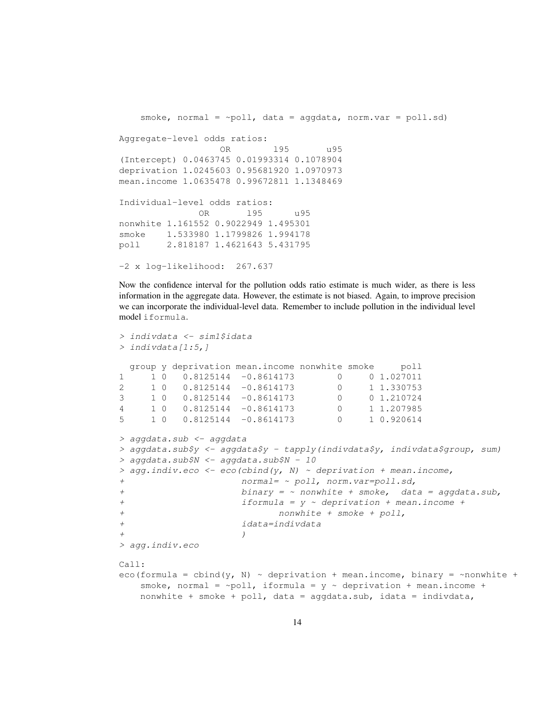```
smoke, normal = \simpoll, data = aggdata, norm.var = poll.sd)
Aggregate-level odds ratios:
                  OR l95 u95
(Intercept) 0.0463745 0.01993314 0.1078904
deprivation 1.0245603 0.95681920 1.0970973
mean.income 1.0635478 0.99672811 1.1348469
Individual-level odds ratios:
              OR l95 u95
nonwhite 1.161552 0.9022949 1.495301
smoke 1.533980 1.1799826 1.994178
poll 2.818187 1.4621643 5.431795
-2 x log-likelihood: 267.637
```
Now the confidence interval for the pollution odds ratio estimate is much wider, as there is less information in the aggregate data. However, the estimate is not biased. Again, to improve precision we can incorporate the individual-level data. Remember to include pollution in the individual level model iformula.

```
> indivdata <- sim1$idata
> indivdata[1:5,]
 group y deprivation mean.income nonwhite smoke poll
1 1 0 0.8125144 -0.8614173 0 0 1.027011
2 1 0 0.8125144 -0.8614173 0 1 1.330753
3 1 0 0.8125144 -0.8614173 0 0 1.210724
4 1 0 0.8125144 -0.8614173 0 1 1.207985
5 1 0 0.8125144 -0.8614173 0 1 0.920614
> aggdata.sub <- aggdata
> aggdata.sub$y <- aggdata$y - tapply(indivdata$y, indivdata$group, sum)
> aggdata.sub$N <- aggdata.sub$N - 10
> agg.indiv.eco \leq eco(cbind(y, N) \sim deprivation + mean.income,
+ normal= ~ poll, norm.var=poll.sd,
+ binary = ~ nonwhite + smoke, data = aggdata.sub,
+ iformula = y ~ deprivation + mean.income +
+ nonwhite + smoke + poll,
+ idata=indivdata
+ )
> agg.indiv.eco
Call:
eco(formula = cbind(y, N) \sim deprivation + mean.income, binary = \simnonwhite +
   smoke, normal = \simpoll, iformula = y \sim deprivation + mean.income +
   nonwhite + smoke + poll, data = aggdata.sub, idata = indivdata,
```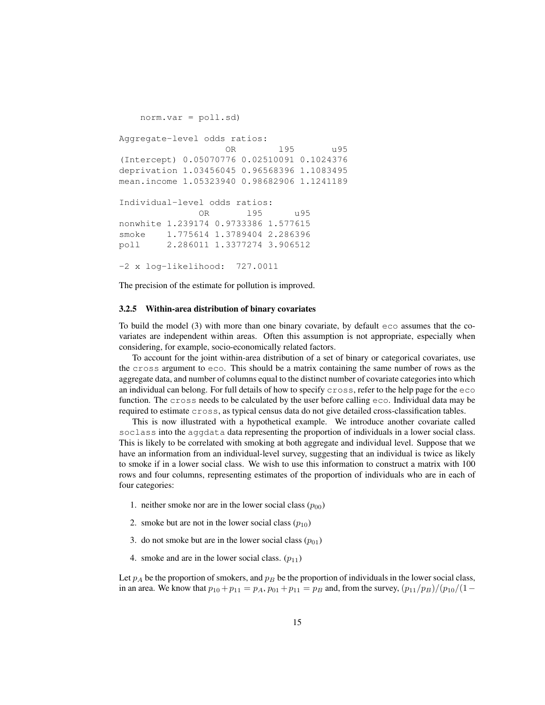```
norm.var = poll.sd)
Aggregate-level odds ratios:
                  OR l95 u95
(Intercept) 0.05070776 0.02510091 0.1024376
deprivation 1.03456045 0.96568396 1.1083495
mean.income 1.05323940 0.98682906 1.1241189
Individual-level odds ratios:
              OR l95 u95
nonwhite 1.239174 0.9733386 1.577615
smoke 1.775614 1.3789404 2.286396
poll 2.286011 1.3377274 3.906512
-2 x log-likelihood: 727.0011
```
The precision of the estimate for pollution is improved.

### 3.2.5 Within-area distribution of binary covariates

To build the model (3) with more than one binary covariate, by default eco assumes that the covariates are independent within areas. Often this assumption is not appropriate, especially when considering, for example, socio-economically related factors.

To account for the joint within-area distribution of a set of binary or categorical covariates, use the cross argument to eco. This should be a matrix containing the same number of rows as the aggregate data, and number of columns equal to the distinct number of covariate categories into which an individual can belong. For full details of how to specify cross, refer to the help page for the eco function. The cross needs to be calculated by the user before calling eco. Individual data may be required to estimate cross, as typical census data do not give detailed cross-classification tables.

This is now illustrated with a hypothetical example. We introduce another covariate called soclass into the aggdata data representing the proportion of individuals in a lower social class. This is likely to be correlated with smoking at both aggregate and individual level. Suppose that we have an information from an individual-level survey, suggesting that an individual is twice as likely to smoke if in a lower social class. We wish to use this information to construct a matrix with 100 rows and four columns, representing estimates of the proportion of individuals who are in each of four categories:

- 1. neither smoke nor are in the lower social class  $(p_{00})$
- 2. smoke but are not in the lower social class  $(p_{10})$
- 3. do not smoke but are in the lower social class  $(p_{01})$
- 4. smoke and are in the lower social class.  $(p_{11})$

Let  $p_A$  be the proportion of smokers, and  $p_B$  be the proportion of individuals in the lower social class, in an area. We know that  $p_{10} + p_{11} = p_A$ ,  $p_{01} + p_{11} = p_B$  and, from the survey,  $(p_{11}/p_B)/(p_{10}/(1-p_{11})$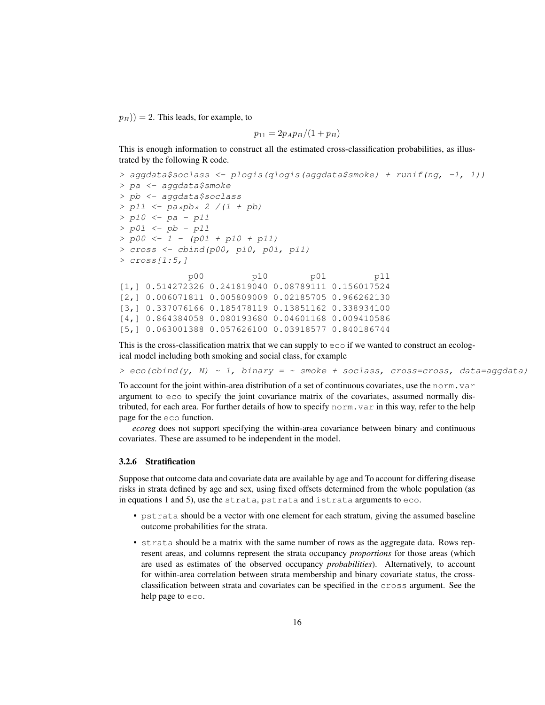$(p_B)$ ) = 2. This leads, for example, to

$$
p_{11} = 2p_A p_B/(1+p_B)
$$

This is enough information to construct all the estimated cross-classification probabilities, as illustrated by the following R code.

```
> aggdata$soclass <- plogis(qlogis(aggdata$smoke) + runif(ng, -1, 1))
> pa <- aggdata$smoke
> pb <- aggdata$soclass
> p11 <- pa*pb* 2 /(1 + pb)
> p10 <- pa - p11
> p01 <- pb - p11
> p00 <- 1 - (p01 + p10 + p11)
> cross <- cbind(p00, p10, p01, p11)
> cross[1:5,]
            p00 p10 p01 p11
[1,] 0.514272326 0.241819040 0.08789111 0.156017524
[2,] 0.006071811 0.005809009 0.02185705 0.966262130
[3,] 0.337076166 0.185478119 0.13851162 0.338934100
[4,] 0.864384058 0.080193680 0.04601168 0.009410586
[5,] 0.063001388 0.057626100 0.03918577 0.840186744
```
This is the cross-classification matrix that we can supply to eco if we wanted to construct an ecological model including both smoking and social class, for example

 $> e$ co(cbind(y, N) ~ 1, binary = ~ smoke + soclass, cross=cross, data=aggdata)

To account for the joint within-area distribution of a set of continuous covariates, use the norm.var argument to eco to specify the joint covariance matrix of the covariates, assumed normally distributed, for each area. For further details of how to specify norm. var in this way, refer to the help page for the eco function.

*ecoreg* does not support specifying the within-area covariance between binary and continuous covariates. These are assumed to be independent in the model.

### 3.2.6 Stratification

Suppose that outcome data and covariate data are available by age and To account for differing disease risks in strata defined by age and sex, using fixed offsets determined from the whole population (as in equations 1 and 5), use the strata, pstrata and istrata arguments to eco.

- pstrata should be a vector with one element for each stratum, giving the assumed baseline outcome probabilities for the strata.
- strata should be a matrix with the same number of rows as the aggregate data. Rows represent areas, and columns represent the strata occupancy *proportions* for those areas (which are used as estimates of the observed occupancy *probabilities*). Alternatively, to account for within-area correlation between strata membership and binary covariate status, the crossclassification between strata and covariates can be specified in the cross argument. See the help page to eco.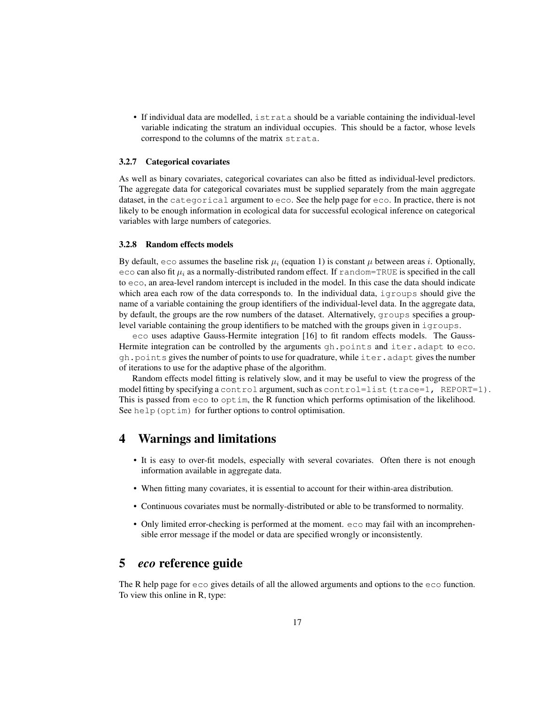• If individual data are modelled, istrata should be a variable containing the individual-level variable indicating the stratum an individual occupies. This should be a factor, whose levels correspond to the columns of the matrix strata.

### 3.2.7 Categorical covariates

As well as binary covariates, categorical covariates can also be fitted as individual-level predictors. The aggregate data for categorical covariates must be supplied separately from the main aggregate dataset, in the categorical argument to eco. See the help page for eco. In practice, there is not likely to be enough information in ecological data for successful ecological inference on categorical variables with large numbers of categories.

### 3.2.8 Random effects models

By default, eco assumes the baseline risk  $\mu_i$  (equation 1) is constant  $\mu$  between areas i. Optionally, eco can also fit  $\mu_i$  as a normally-distributed random effect. If random=TRUE is specified in the call to eco, an area-level random intercept is included in the model. In this case the data should indicate which area each row of the data corresponds to. In the individual data, igroups should give the name of a variable containing the group identifiers of the individual-level data. In the aggregate data, by default, the groups are the row numbers of the dataset. Alternatively, groups specifies a grouplevel variable containing the group identifiers to be matched with the groups given in  $i$  groups.

eco uses adaptive Gauss-Hermite integration [16] to fit random effects models. The Gauss-Hermite integration can be controlled by the arguments  $qh$ , points and iter.adapt to eco. gh.points gives the number of points to use for quadrature, while iter.adapt gives the number of iterations to use for the adaptive phase of the algorithm.

Random effects model fitting is relatively slow, and it may be useful to view the progress of the model fitting by specifying a control argument, such as control=list (trace=1, REPORT=1). This is passed from eco to optim, the R function which performs optimisation of the likelihood. See help (optim) for further options to control optimisation.

## 4 Warnings and limitations

- It is easy to over-fit models, especially with several covariates. Often there is not enough information available in aggregate data.
- When fitting many covariates, it is essential to account for their within-area distribution.
- Continuous covariates must be normally-distributed or able to be transformed to normality.
- Only limited error-checking is performed at the moment. eco may fail with an incomprehensible error message if the model or data are specified wrongly or inconsistently.

## 5 *eco* reference guide

The R help page for eco gives details of all the allowed arguments and options to the eco function. To view this online in R, type: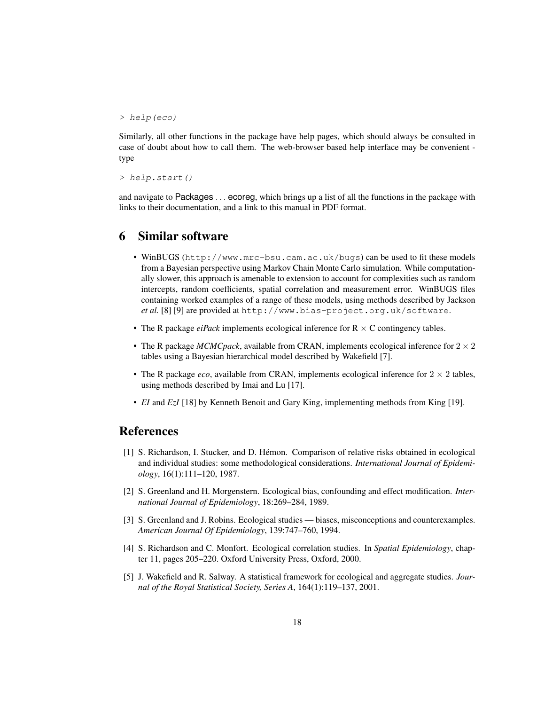> help(eco)

Similarly, all other functions in the package have help pages, which should always be consulted in case of doubt about how to call them. The web-browser based help interface may be convenient type

> help.start()

and navigate to Packages . . . ecoreg, which brings up a list of all the functions in the package with links to their documentation, and a link to this manual in PDF format.

## 6 Similar software

- WinBUGS (http://www.mrc-bsu.cam.ac.uk/bugs) can be used to fit these models from a Bayesian perspective using Markov Chain Monte Carlo simulation. While computationally slower, this approach is amenable to extension to account for complexities such as random intercepts, random coefficients, spatial correlation and measurement error. WinBUGS files containing worked examples of a range of these models, using methods described by Jackson *et al.* [8] [9] are provided at http://www.bias-project.org.uk/software.
- The R package  $ei$ *Pack* implements ecological inference for  $R \times C$  contingency tables.
- The R package *MCMCpack*, available from CRAN, implements ecological inference for  $2 \times 2$ tables using a Bayesian hierarchical model described by Wakefield [7].
- The R package *eco*, available from CRAN, implements ecological inference for  $2 \times 2$  tables, using methods described by Imai and Lu [17].
- *EI* and *EzI* [18] by Kenneth Benoit and Gary King, implementing methods from King [19].

## **References**

- [1] S. Richardson, I. Stucker, and D. Hémon. Comparison of relative risks obtained in ecological and individual studies: some methodological considerations. *International Journal of Epidemiology*, 16(1):111–120, 1987.
- [2] S. Greenland and H. Morgenstern. Ecological bias, confounding and effect modification. *International Journal of Epidemiology*, 18:269–284, 1989.
- [3] S. Greenland and J. Robins. Ecological studies biases, misconceptions and counterexamples. *American Journal Of Epidemiology*, 139:747–760, 1994.
- [4] S. Richardson and C. Monfort. Ecological correlation studies. In *Spatial Epidemiology*, chapter 11, pages 205–220. Oxford University Press, Oxford, 2000.
- [5] J. Wakefield and R. Salway. A statistical framework for ecological and aggregate studies. *Journal of the Royal Statistical Society, Series A*, 164(1):119–137, 2001.